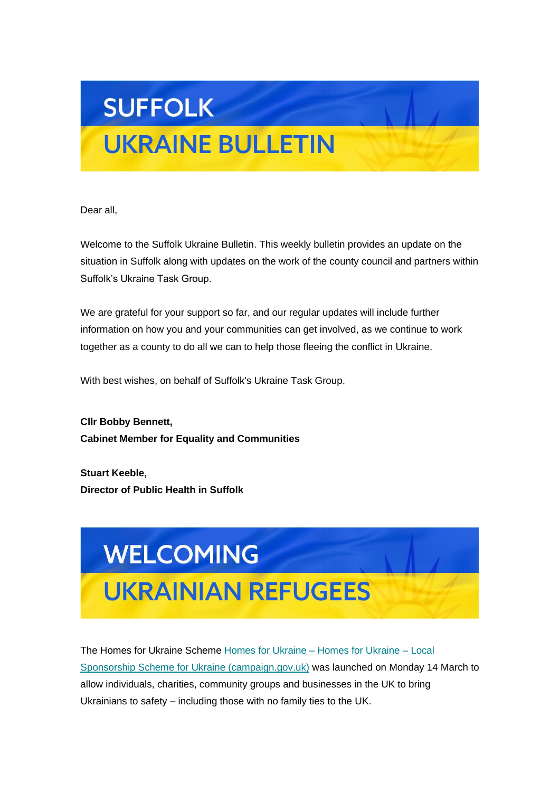# **SUFFOLK**

# **UKRAINE BULLETIN**

Dear all,

Welcome to the Suffolk Ukraine Bulletin. This weekly bulletin provides an update on the situation in Suffolk along with updates on the work of the county council and partners within Suffolk's Ukraine Task Group.

We are grateful for your support so far, and our regular updates will include further information on how you and your communities can get involved, as we continue to work together as a county to do all we can to help those fleeing the conflict in Ukraine.

With best wishes, on behalf of Suffolk's Ukraine Task Group.

**Cllr Bobby Bennett, Cabinet Member for Equality and Communities**

**Stuart Keeble, Director of Public Health in Suffolk**



The Homes for Ukraine Scheme [Homes for Ukraine –](https://suffolk.us15.list-manage.com/track/click?u=6a4b611d774833befc266f91b&id=51fa89398e&e=6f11f42378) Homes for Ukraine – Local [Sponsorship Scheme for Ukraine \(campaign.gov.uk\)](https://suffolk.us15.list-manage.com/track/click?u=6a4b611d774833befc266f91b&id=51fa89398e&e=6f11f42378) was launched on Monday 14 March to allow individuals, charities, community groups and businesses in the UK to bring Ukrainians to safety – including those with no family ties to the UK.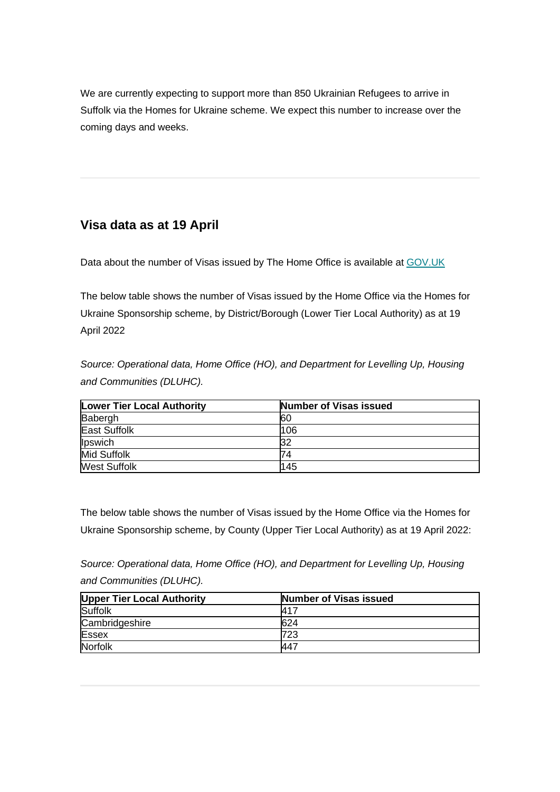We are currently expecting to support more than 850 Ukrainian Refugees to arrive in Suffolk via the Homes for Ukraine scheme. We expect this number to increase over the coming days and weeks.

## **Visa data as at 19 April**

Data about the number of Visas issued by The Home Office is available at [GOV.UK](https://suffolk.us15.list-manage.com/track/click?u=6a4b611d774833befc266f91b&id=d7425f893a&e=6f11f42378)

The below table shows the number of Visas issued by the Home Office via the Homes for Ukraine Sponsorship scheme, by District/Borough (Lower Tier Local Authority) as at 19 April 2022

*Source: Operational data, Home Office (HO), and Department for Levelling Up, Housing and Communities (DLUHC).*

| <b>Lower Tier Local Authority</b> | Number of Visas issued |
|-----------------------------------|------------------------|
| Babergh                           | <b>60</b>              |
| <b>East Suffolk</b>               | 106                    |
| Ipswich                           | 32                     |
| <b>Mid Suffolk</b>                | 74                     |
| <b>West Suffolk</b>               | 145                    |

The below table shows the number of Visas issued by the Home Office via the Homes for Ukraine Sponsorship scheme, by County (Upper Tier Local Authority) as at 19 April 2022:

*Source: Operational data, Home Office (HO), and Department for Levelling Up, Housing and Communities (DLUHC).*

| <b>Upper Tier Local Authority</b> | <b>Number of Visas issued</b> |
|-----------------------------------|-------------------------------|
| Suffolk                           | <b>417</b>                    |
| Cambridgeshire                    | 624                           |
| <b>Essex</b>                      | 723                           |
| Norfolk                           | '447                          |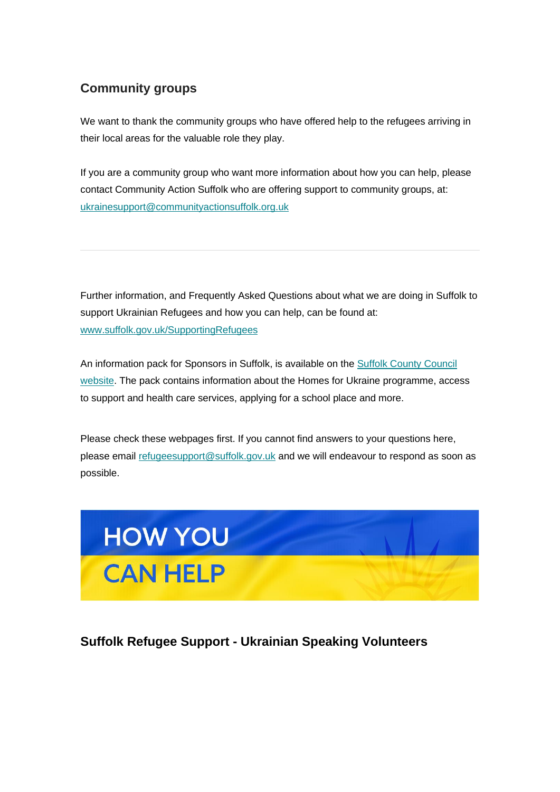### **Community groups**

We want to thank the community groups who have offered help to the refugees arriving in their local areas for the valuable role they play.

If you are a community group who want more information about how you can help, please contact Community Action Suffolk who are offering support to community groups, at: [ukrainesupport@communityactionsuffolk.org.uk](mailto:ukrainesupport@communityactionsuffolk.org.uk)

Further information, and Frequently Asked Questions about what we are doing in Suffolk to support Ukrainian Refugees and how you can help, can be found at: [www.suffolk.gov.uk/SupportingRefugees](https://suffolk.us15.list-manage.com/track/click?u=6a4b611d774833befc266f91b&id=fc545c100a&e=6f11f42378)

An information pack for Sponsors in Suffolk, is available on the [Suffolk County Council](https://suffolk.us15.list-manage.com/track/click?u=6a4b611d774833befc266f91b&id=b303777224&e=6f11f42378)  [website.](https://suffolk.us15.list-manage.com/track/click?u=6a4b611d774833befc266f91b&id=b303777224&e=6f11f42378) The pack contains information about the Homes for Ukraine programme, access to support and health care services, applying for a school place and more.

Please check these webpages first. If you cannot find answers to your questions here, please email [refugeesupport@suffolk.gov.uk](mailto:refugeesupport@suffolk.gov.uk) and we will endeavour to respond as soon as possible.



### **Suffolk Refugee Support - Ukrainian Speaking Volunteers**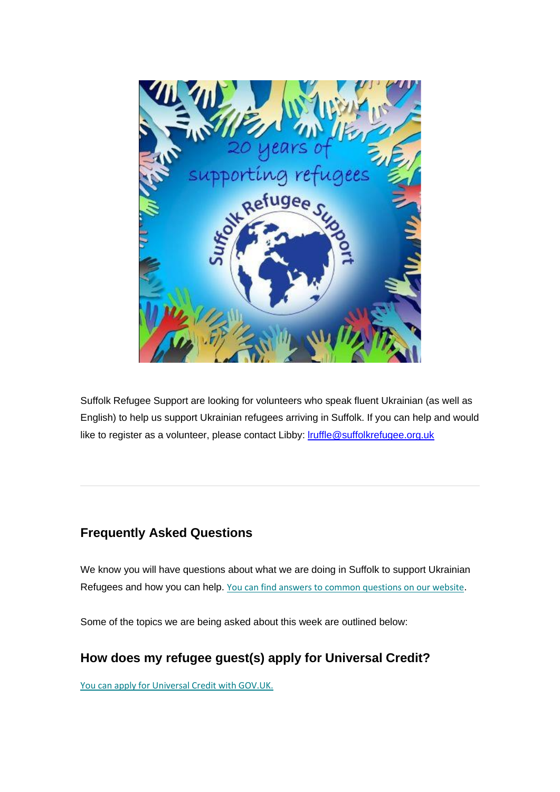

Suffolk Refugee Support are looking for volunteers who speak fluent Ukrainian (as well as English) to help us support Ukrainian refugees arriving in Suffolk. If you can help and would like to register as a volunteer, please contact Libby: **Iruffle@suffolkrefugee.org.uk** 

### **Frequently Asked Questions**

We know you will have questions about what we are doing in Suffolk to support Ukrainian Refugees and how you can help. [You can find answers to common questions on our website](https://suffolk.us15.list-manage.com/track/click?u=6a4b611d774833befc266f91b&id=156353ad1d&e=6f11f42378).

Some of the topics we are being asked about this week are outlined below:

### **How does my refugee guest(s) apply for Universal Credit?**

[You can apply for Universal Credit with GOV.UK.](https://suffolk.us15.list-manage.com/track/click?u=6a4b611d774833befc266f91b&id=64918ad245&e=6f11f42378)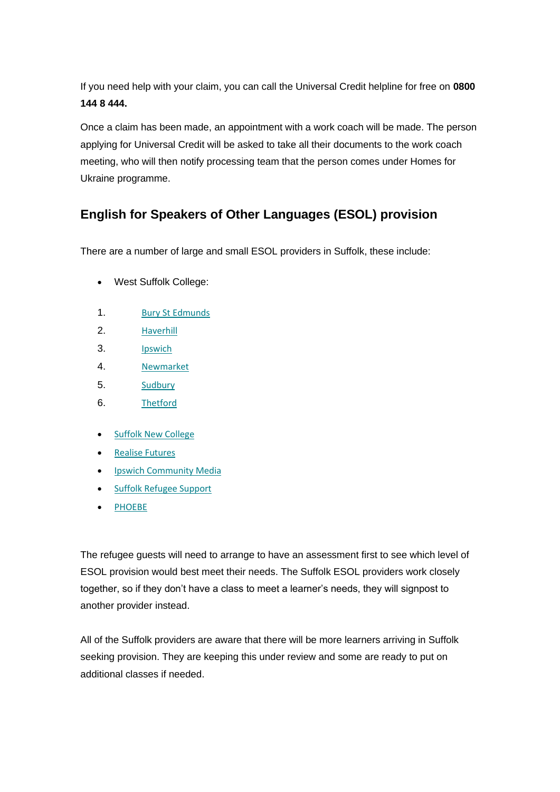If you need help with your claim, you can call the Universal Credit helpline for free on **0800 144 8 444.**

Once a claim has been made, an appointment with a work coach will be made. The person applying for Universal Credit will be asked to take all their documents to the work coach meeting, who will then notify processing team that the person comes under Homes for Ukraine programme.

## **English for Speakers of Other Languages (ESOL) provision**

There are a number of large and small ESOL providers in Suffolk, these include:

- West Suffolk College:
- 1. [Bury St Edmunds](https://suffolk.us15.list-manage.com/track/click?u=6a4b611d774833befc266f91b&id=dede0df060&e=6f11f42378)
- 2. [Haverhill](https://suffolk.us15.list-manage.com/track/click?u=6a4b611d774833befc266f91b&id=d7c60f5b20&e=6f11f42378)
- 3. [Ipswich](https://suffolk.us15.list-manage.com/track/click?u=6a4b611d774833befc266f91b&id=1bc90c6059&e=6f11f42378)
- 4. [Newmarket](https://suffolk.us15.list-manage.com/track/click?u=6a4b611d774833befc266f91b&id=99168b680d&e=6f11f42378)
- 5. [Sudbury](https://suffolk.us15.list-manage.com/track/click?u=6a4b611d774833befc266f91b&id=a974e0dd44&e=6f11f42378)
- 6. [Thetford](https://suffolk.us15.list-manage.com/track/click?u=6a4b611d774833befc266f91b&id=0d242f4efe&e=6f11f42378)
- [Suffolk New College](https://suffolk.us15.list-manage.com/track/click?u=6a4b611d774833befc266f91b&id=72bb90bde8&e=6f11f42378)
- [Realise Futures](https://suffolk.us15.list-manage.com/track/click?u=6a4b611d774833befc266f91b&id=8e4b76e83c&e=6f11f42378)
- [Ipswich Community Media](https://suffolk.us15.list-manage.com/track/click?u=6a4b611d774833befc266f91b&id=5bb1d75d3a&e=6f11f42378)
- [Suffolk Refugee Support](https://suffolk.us15.list-manage.com/track/click?u=6a4b611d774833befc266f91b&id=497945d759&e=6f11f42378)
- [PHOEBE](https://suffolk.us15.list-manage.com/track/click?u=6a4b611d774833befc266f91b&id=c81d67328e&e=6f11f42378)

The refugee guests will need to arrange to have an assessment first to see which level of ESOL provision would best meet their needs. The Suffolk ESOL providers work closely together, so if they don't have a class to meet a learner's needs, they will signpost to another provider instead.

All of the Suffolk providers are aware that there will be more learners arriving in Suffolk seeking provision. They are keeping this under review and some are ready to put on additional classes if needed.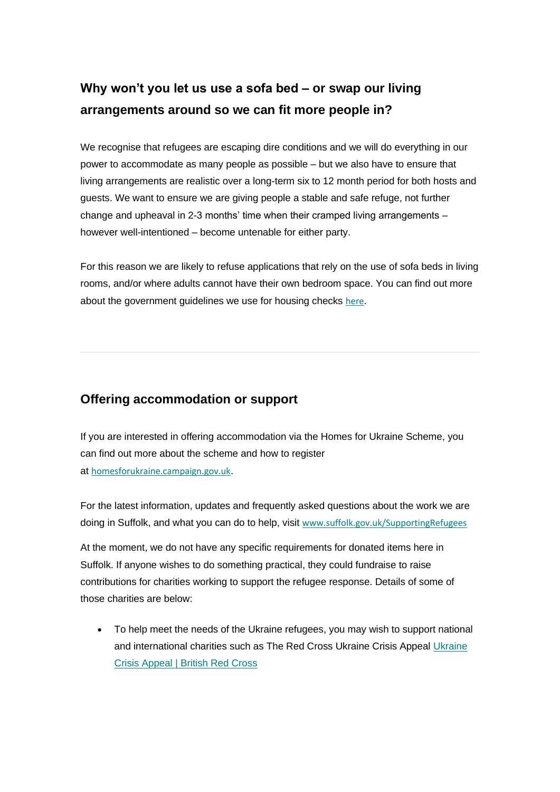## **Why won't you let us use a sofa bed – or swap our living arrangements around so we can fit more people in?**

We recognise that refugees are escaping dire conditions and we will do everything in our power to accommodate as many people as possible – but we also have to ensure that living arrangements are realistic over a long-term six to 12 month period for both hosts and guests. We want to ensure we are giving people a stable and safe refuge, not further change and upheaval in 2-3 months' time when their cramped living arrangements – however well-intentioned – become untenable for either party.

For this reason we are likely to refuse applications that rely on the use of sofa beds in living rooms, and/or where adults cannot have their own bedroom space. You can find out more about the government quidelines we use for housing checks [here](https://suffolk.us15.list-manage.com/track/click?u=6a4b611d774833befc266f91b&id=99765a5248&e=6f11f42378).

#### **Offering accommodation or support**

If you are interested in offering accommodation via the Homes for Ukraine Scheme, you can find out more about the scheme and how to register at [homesforukraine.campaign.gov.uk](https://suffolk.us15.list-manage.com/track/click?u=6a4b611d774833befc266f91b&id=e303027626&e=6f11f42378).

For the latest information, updates and frequently asked questions about the work we are doing in Suffolk, and what you can do to help, visit [www.suffolk.gov.uk/SupportingRefugees](https://suffolk.us15.list-manage.com/track/click?u=6a4b611d774833befc266f91b&id=897a7add81&e=6f11f42378)

At the moment, we do not have any specific requirements for donated items here in Suffolk. If anyone wishes to do something practical, they could fundraise to raise contributions for charities working to support the refugee response. Details of some of those charities are below:

• To help meet the needs of the Ukraine refugees, you may wish to support national and international charities such as The Red Cross Ukraine Crisis Appeal [Ukraine](https://suffolk.us15.list-manage.com/track/click?u=6a4b611d774833befc266f91b&id=39ff7ae9bd&e=6f11f42378)  [Crisis Appeal | British Red Cross](https://suffolk.us15.list-manage.com/track/click?u=6a4b611d774833befc266f91b&id=39ff7ae9bd&e=6f11f42378)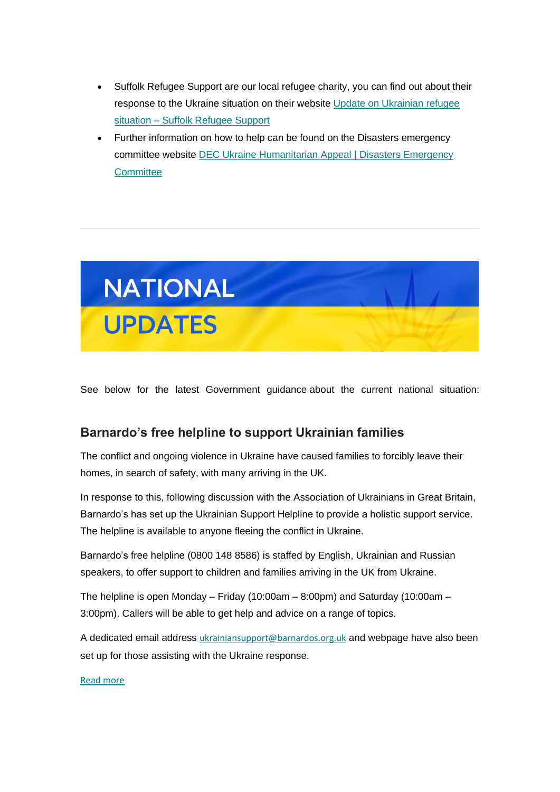- Suffolk Refugee Support are our local refugee charity, you can find out about their response to the Ukraine situation on their website [Update on Ukrainian refugee](https://suffolk.us15.list-manage.com/track/click?u=6a4b611d774833befc266f91b&id=e705745fe3&e=6f11f42378)  situation – [Suffolk Refugee Support](https://suffolk.us15.list-manage.com/track/click?u=6a4b611d774833befc266f91b&id=e705745fe3&e=6f11f42378)
- Further information on how to help can be found on the Disasters emergency committee website [DEC Ukraine Humanitarian Appeal | Disasters Emergency](https://suffolk.us15.list-manage.com/track/click?u=6a4b611d774833befc266f91b&id=4b8f678478&e=6f11f42378)  **[Committee](https://suffolk.us15.list-manage.com/track/click?u=6a4b611d774833befc266f91b&id=4b8f678478&e=6f11f42378)**



See below for the latest Government guidance about the current national situation:

#### **Barnardo's free helpline to support Ukrainian families**

The conflict and ongoing violence in Ukraine have caused families to forcibly leave their homes, in search of safety, with many arriving in the UK.

In response to this, following discussion with the Association of Ukrainians in Great Britain, Barnardo's has set up the Ukrainian Support Helpline to provide a holistic support service. The helpline is available to anyone fleeing the conflict in Ukraine.

Barnardo's free helpline (0800 148 8586) is staffed by English, Ukrainian and Russian speakers, to offer support to children and families arriving in the UK from Ukraine.

The helpline is open Monday – Friday (10:00am – 8:00pm) and Saturday (10:00am – 3:00pm). Callers will be able to get help and advice on a range of topics.

A dedicated email address [ukrainiansupport@barnardos.org.uk](mailto:ukrainiansupport@barnardos.org.uk) and webpage have also been set up for those assisting with the Ukraine response.

#### [Read more](https://suffolk.us15.list-manage.com/track/click?u=6a4b611d774833befc266f91b&id=c1e327ba94&e=6f11f42378)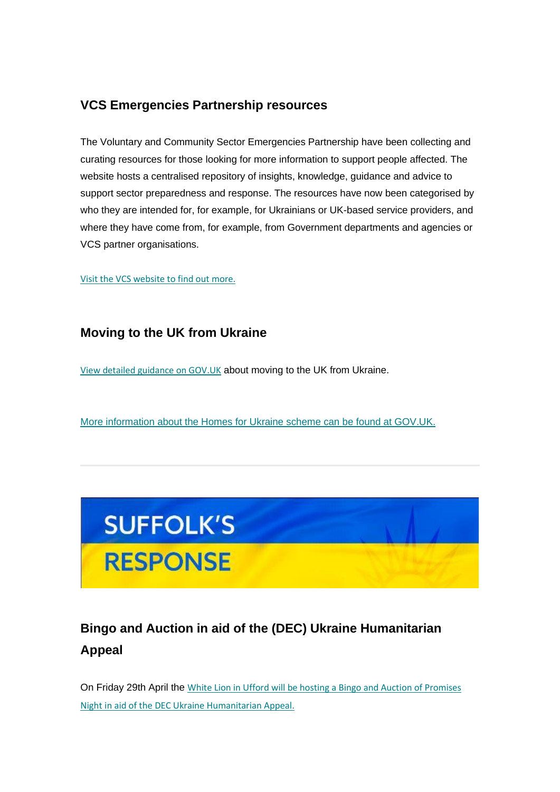#### **VCS Emergencies Partnership resources**

The Voluntary and Community Sector Emergencies Partnership have been collecting and curating resources for those looking for more information to support people affected. The website hosts a centralised repository of insights, knowledge, guidance and advice to support sector preparedness and response. The resources have now been categorised by who they are intended for, for example, for Ukrainians or UK-based service providers, and where they have come from, for example, from Government departments and agencies or VCS partner organisations.

#### [Visit the VCS website to find out more.](https://suffolk.us15.list-manage.com/track/click?u=6a4b611d774833befc266f91b&id=7df197d3a7&e=6f11f42378)

#### **Moving to the UK from Ukraine**

[View detailed guidance on GOV.UK](https://suffolk.us15.list-manage.com/track/click?u=6a4b611d774833befc266f91b&id=9f11faee64&e=6f11f42378) about moving to the UK from Ukraine.

[More information about the Homes for Ukraine scheme can be found at GOV.UK.](https://suffolk.us15.list-manage.com/track/click?u=6a4b611d774833befc266f91b&id=f28c845502&e=6f11f42378)



## **Bingo and Auction in aid of the (DEC) Ukraine Humanitarian Appeal**

On Friday 29th April the [White Lion in Ufford will be hosting a Bingo and Auction of Promises](https://suffolk.us15.list-manage.com/track/click?u=6a4b611d774833befc266f91b&id=62affcabe9&e=6f11f42378)  [Night in aid of the DEC Ukraine Humanitarian Appeal.](https://suffolk.us15.list-manage.com/track/click?u=6a4b611d774833befc266f91b&id=62affcabe9&e=6f11f42378)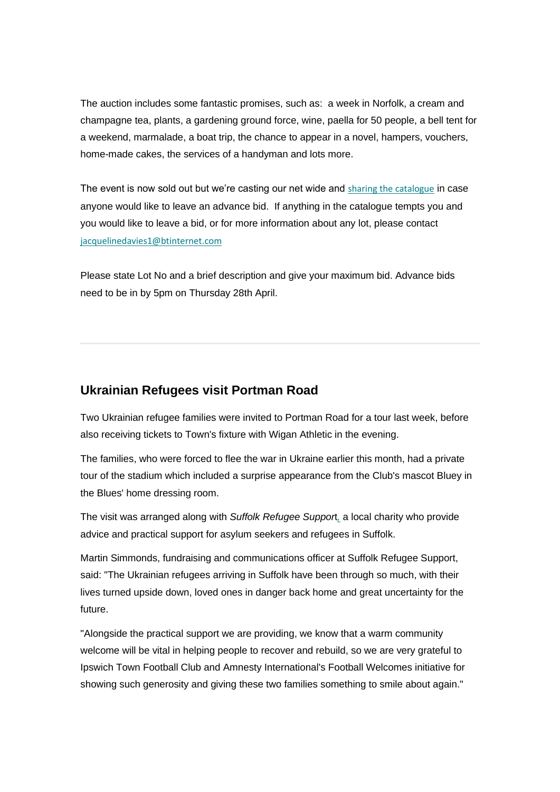The auction includes some fantastic promises, such as: a week in Norfolk, a cream and champagne tea, plants, a gardening ground force, wine, paella for 50 people, a bell tent for a weekend, marmalade, a boat trip, the chance to appear in a novel, hampers, vouchers, home-made cakes, the services of a handyman and lots more.

The event is now sold out but we're casting our net wide and [sharing the catalogue](https://suffolk.us15.list-manage.com/track/click?u=6a4b611d774833befc266f91b&id=966ff2edce&e=6f11f42378) in case anyone would like to leave an advance bid. If anything in the catalogue tempts you and you would like to leave a bid, or for more information about any lot, please contact [jacquelinedavies1@btinternet.com](mailto:jacquelinedavies1@btinternet.com)

Please state Lot No and a brief description and give your maximum bid. Advance bids need to be in by 5pm on Thursday 28th April.

#### **Ukrainian Refugees visit Portman Road**

Two Ukrainian refugee families were invited to Portman Road for a tour last week, before also receiving tickets to Town's fixture with Wigan Athletic in the evening.

The families, who were forced to flee the war in Ukraine earlier this month, had a private tour of the stadium which included a surprise appearance from the Club's mascot Bluey in the Blues' home dressing room.

The visit was arranged along with *Suffolk Refugee Suppor*t*[,](https://suffolk.us15.list-manage.com/track/click?u=6a4b611d774833befc266f91b&id=901dc14a36&e=6f11f42378)* a local charity who provide advice and practical support for asylum seekers and refugees in Suffolk.

Martin Simmonds, fundraising and communications officer at Suffolk Refugee Support, said: "The Ukrainian refugees arriving in Suffolk have been through so much, with their lives turned upside down, loved ones in danger back home and great uncertainty for the future.

"Alongside the practical support we are providing, we know that a warm community welcome will be vital in helping people to recover and rebuild, so we are very grateful to Ipswich Town Football Club and Amnesty International's Football Welcomes initiative for showing such generosity and giving these two families something to smile about again."